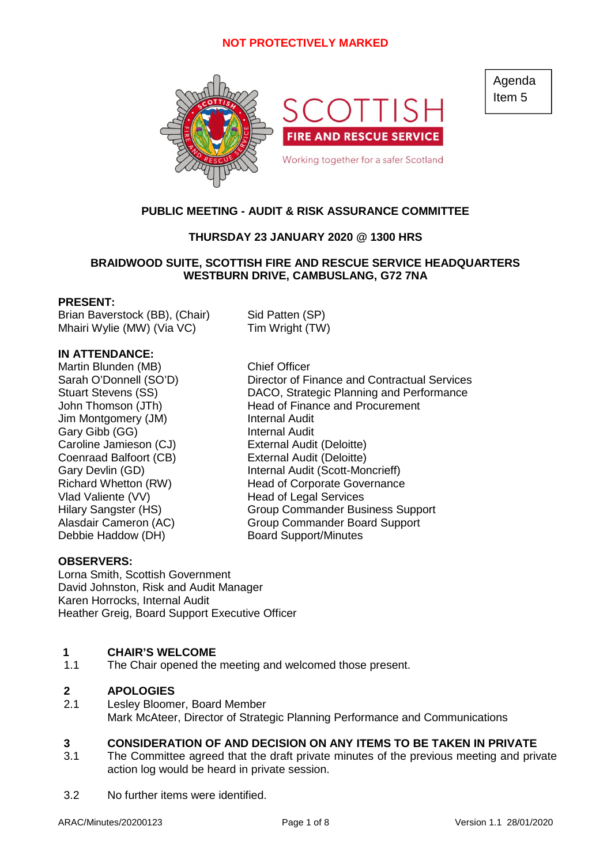

Agenda Item 5

# **PUBLIC MEETING - AUDIT & RISK ASSURANCE COMMITTEE**

# **THURSDAY 23 JANUARY 2020 @ 1300 HRS**

## **BRAIDWOOD SUITE, SCOTTISH FIRE AND RESCUE SERVICE HEADQUARTERS WESTBURN DRIVE, CAMBUSLANG, G72 7NA**

### **PRESENT:**

Brian Baverstock (BB), (Chair) Sid Patten (SP) Mhairi Wylie (MW) (Via VC) Tim Wright (TW)

**IN ATTENDANCE:**

Martin Blunden (MB) Chief Officer Jim Montgomery (JM) Internal Audit Gary Gibb (GG) **Internal Audit** Caroline Jamieson (CJ) External Audit (Deloitte) Coenraad Balfoort (CB) External Audit (Deloitte) Vlad Valiente (VV) Head of Legal Services Debbie Haddow (DH) Board Support/Minutes

Sarah O'Donnell (SO'D) Director of Finance and Contractual Services Stuart Stevens (SS) DACO, Strategic Planning and Performance John Thomson (JTh) Head of Finance and Procurement Gary Devlin (GD) **Internal Audit (Scott-Moncrieff)** Richard Whetton (RW) Head of Corporate Governance Hilary Sangster (HS) Group Commander Business Support Alasdair Cameron (AC) Group Commander Board Support

### **OBSERVERS:**

Lorna Smith, Scottish Government David Johnston, Risk and Audit Manager Karen Horrocks, Internal Audit Heather Greig, Board Support Executive Officer

### **1 CHAIR'S WELCOME**

1.1 The Chair opened the meeting and welcomed those present.

### **2 APOLOGIES**

2.1 Lesley Bloomer, Board Member Mark McAteer, Director of Strategic Planning Performance and Communications

### **3 CONSIDERATION OF AND DECISION ON ANY ITEMS TO BE TAKEN IN PRIVATE**

- 3.1 The Committee agreed that the draft private minutes of the previous meeting and private action log would be heard in private session.
- 3.2 No further items were identified.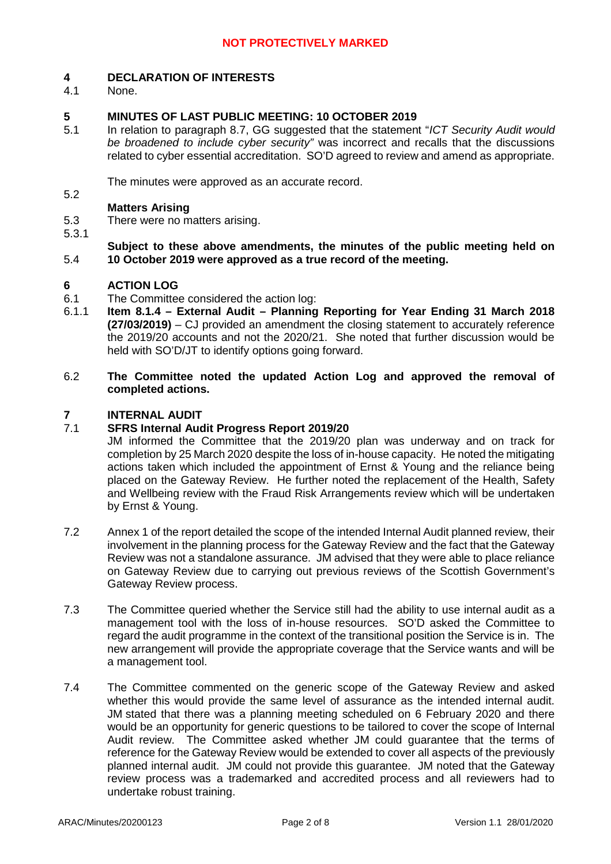#### **4 DECLARATION OF INTERESTS**

4.1 None.

## **5 MINUTES OF LAST PUBLIC MEETING: 10 OCTOBER 2019**

5.1 In relation to paragraph 8.7, GG suggested that the statement "*ICT Security Audit would be broadened to include cyber security"* was incorrect and recalls that the discussions related to cyber essential accreditation. SO'D agreed to review and amend as appropriate.

The minutes were approved as an accurate record.

# **Matters Arising**

- 5.3 There were no matters arising.
- 5.3.1

5.2

5.4 **Subject to these above amendments, the minutes of the public meeting held on 10 October 2019 were approved as a true record of the meeting.**

#### **6 ACTION LOG**

- 6.1 The Committee considered the action log:
- 6.1.1 **Item 8.1.4 – External Audit – Planning Reporting for Year Ending 31 March 2018 (27/03/2019)** – CJ provided an amendment the closing statement to accurately reference the 2019/20 accounts and not the 2020/21. She noted that further discussion would be held with SO'D/JT to identify options going forward.
- 6.2 **The Committee noted the updated Action Log and approved the removal of completed actions.**

#### **7 INTERNAL AUDIT**

#### 7.1 **SFRS Internal Audit Progress Report 2019/20**

JM informed the Committee that the 2019/20 plan was underway and on track for completion by 25 March 2020 despite the loss of in-house capacity. He noted the mitigating actions taken which included the appointment of Ernst & Young and the reliance being placed on the Gateway Review. He further noted the replacement of the Health, Safety and Wellbeing review with the Fraud Risk Arrangements review which will be undertaken by Ernst & Young.

- 7.2 Annex 1 of the report detailed the scope of the intended Internal Audit planned review, their involvement in the planning process for the Gateway Review and the fact that the Gateway Review was not a standalone assurance. JM advised that they were able to place reliance on Gateway Review due to carrying out previous reviews of the Scottish Government's Gateway Review process.
- 7.3 The Committee queried whether the Service still had the ability to use internal audit as a management tool with the loss of in-house resources. SO'D asked the Committee to regard the audit programme in the context of the transitional position the Service is in. The new arrangement will provide the appropriate coverage that the Service wants and will be a management tool.
- 7.4 The Committee commented on the generic scope of the Gateway Review and asked whether this would provide the same level of assurance as the intended internal audit. JM stated that there was a planning meeting scheduled on 6 February 2020 and there would be an opportunity for generic questions to be tailored to cover the scope of Internal Audit review. The Committee asked whether JM could guarantee that the terms of reference for the Gateway Review would be extended to cover all aspects of the previously planned internal audit. JM could not provide this guarantee. JM noted that the Gateway review process was a trademarked and accredited process and all reviewers had to undertake robust training.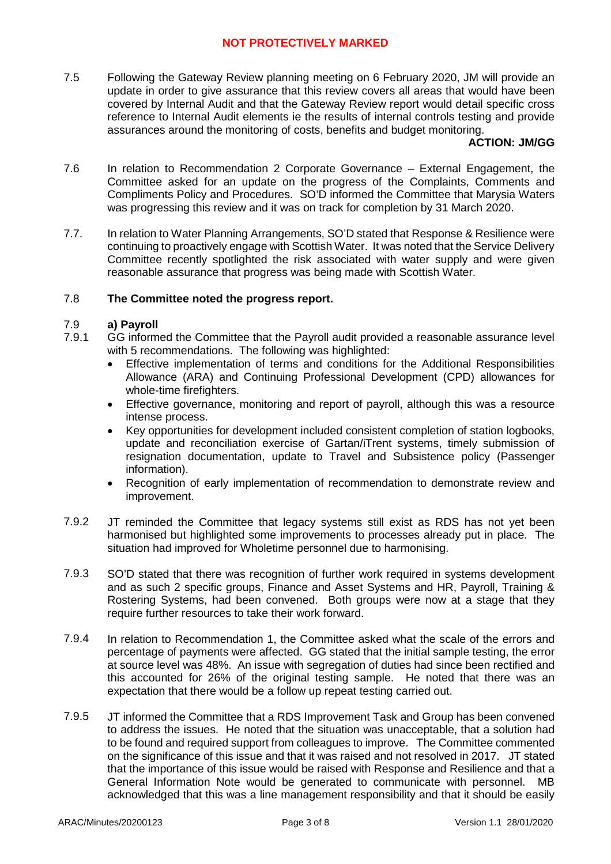7.5 Following the Gateway Review planning meeting on 6 February 2020, JM will provide an update in order to give assurance that this review covers all areas that would have been covered by Internal Audit and that the Gateway Review report would detail specific cross reference to Internal Audit elements ie the results of internal controls testing and provide assurances around the monitoring of costs, benefits and budget monitoring.

# **ACTION: JM/GG**

- 7.6 In relation to Recommendation 2 Corporate Governance – External Engagement, the Committee asked for an update on the progress of the Complaints, Comments and Compliments Policy and Procedures. SO'D informed the Committee that Marysia Waters was progressing this review and it was on track for completion by 31 March 2020.
- 7.7. In relation to Water Planning Arrangements, SO'D stated that Response & Resilience were continuing to proactively engage with Scottish Water. It was noted that the Service Delivery Committee recently spotlighted the risk associated with water supply and were given reasonable assurance that progress was being made with Scottish Water.

#### 7.8 **The Committee noted the progress report.**

#### 7.9 **a) Payroll**

- 7.9.1 GG informed the Committee that the Payroll audit provided a reasonable assurance level with 5 recommendations. The following was highlighted:
	- Effective implementation of terms and conditions for the Additional Responsibilities Allowance (ARA) and Continuing Professional Development (CPD) allowances for whole-time firefighters.
	- Effective governance, monitoring and report of payroll, although this was a resource intense process.
	- Key opportunities for development included consistent completion of station logbooks, update and reconciliation exercise of Gartan/iTrent systems, timely submission of resignation documentation, update to Travel and Subsistence policy (Passenger information).
	- Recognition of early implementation of recommendation to demonstrate review and improvement.
- 7.9.2 JT reminded the Committee that legacy systems still exist as RDS has not yet been harmonised but highlighted some improvements to processes already put in place. The situation had improved for Wholetime personnel due to harmonising.
- 7.9.3 SO'D stated that there was recognition of further work required in systems development and as such 2 specific groups, Finance and Asset Systems and HR, Payroll, Training & Rostering Systems, had been convened. Both groups were now at a stage that they require further resources to take their work forward.
- 7.9.4 In relation to Recommendation 1, the Committee asked what the scale of the errors and percentage of payments were affected. GG stated that the initial sample testing, the error at source level was 48%. An issue with segregation of duties had since been rectified and this accounted for 26% of the original testing sample. He noted that there was an expectation that there would be a follow up repeat testing carried out.
- 7.9.5 JT informed the Committee that a RDS Improvement Task and Group has been convened to address the issues. He noted that the situation was unacceptable, that a solution had to be found and required support from colleagues to improve. The Committee commented on the significance of this issue and that it was raised and not resolved in 2017. JT stated that the importance of this issue would be raised with Response and Resilience and that a General Information Note would be generated to communicate with personnel. MB acknowledged that this was a line management responsibility and that it should be easily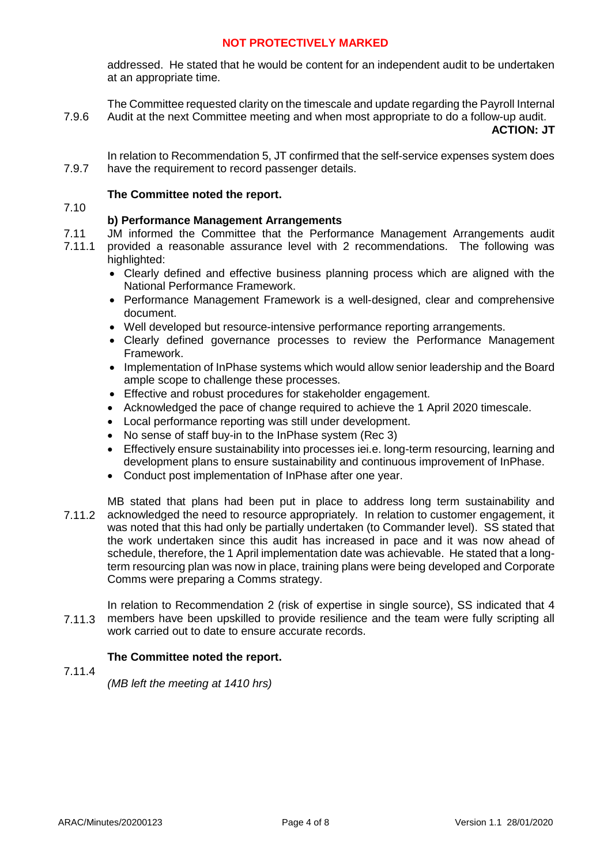addressed. He stated that he would be content for an independent audit to be undertaken at an appropriate time.

7.9.6 The Committee requested clarity on the timescale and update regarding the Payroll Internal Audit at the next Committee meeting and when most appropriate to do a follow-up audit.

### **ACTION: JT**

7.9.7 In relation to Recommendation 5, JT confirmed that the self-service expenses system does have the requirement to record passenger details.

### **The Committee noted the report.**

7.10

## **b) Performance Management Arrangements**

- 7.11 JM informed the Committee that the Performance Management Arrangements audit
- 7.11.1 provided a reasonable assurance level with 2 recommendations. The following was highlighted:
	- Clearly defined and effective business planning process which are aligned with the National Performance Framework.
	- Performance Management Framework is a well-designed, clear and comprehensive document.
	- Well developed but resource-intensive performance reporting arrangements.
	- Clearly defined governance processes to review the Performance Management Framework.
	- Implementation of InPhase systems which would allow senior leadership and the Board ample scope to challenge these processes.
	- Effective and robust procedures for stakeholder engagement.
	- Acknowledged the pace of change required to achieve the 1 April 2020 timescale.
	- Local performance reporting was still under development.
	- No sense of staff buy-in to the InPhase system (Rec 3)
	- Effectively ensure sustainability into processes iei.e. long-term resourcing, learning and development plans to ensure sustainability and continuous improvement of InPhase.
	- Conduct post implementation of InPhase after one year.
- 7.11.2 MB stated that plans had been put in place to address long term sustainability and acknowledged the need to resource appropriately. In relation to customer engagement, it was noted that this had only be partially undertaken (to Commander level). SS stated that the work undertaken since this audit has increased in pace and it was now ahead of schedule, therefore, the 1 April implementation date was achievable. He stated that a longterm resourcing plan was now in place, training plans were being developed and Corporate Comms were preparing a Comms strategy.
- 7.11.3 In relation to Recommendation 2 (risk of expertise in single source), SS indicated that 4 members have been upskilled to provide resilience and the team were fully scripting all work carried out to date to ensure accurate records.

## **The Committee noted the report.**

7.11.4

*(MB left the meeting at 1410 hrs)*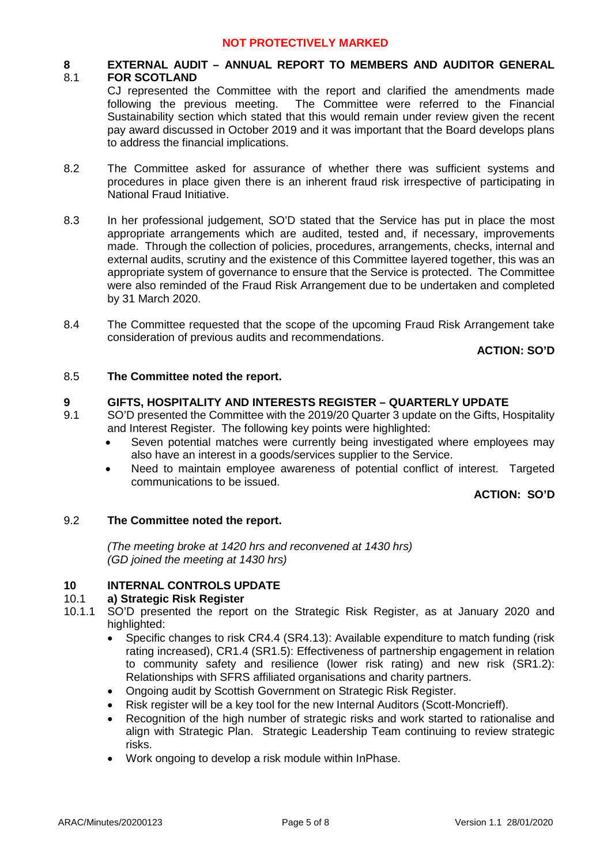#### **8** 8.1 **EXTERNAL AUDIT – ANNUAL REPORT TO MEMBERS AND AUDITOR GENERAL FOR SCOTLAND**

CJ represented the Committee with the report and clarified the amendments made following the previous meeting. The Committee were referred to the Financial Sustainability section which stated that this would remain under review given the recent pay award discussed in October 2019 and it was important that the Board develops plans to address the financial implications.

- 8.2 The Committee asked for assurance of whether there was sufficient systems and procedures in place given there is an inherent fraud risk irrespective of participating in National Fraud Initiative.
- 8.3 In her professional judgement, SO'D stated that the Service has put in place the most appropriate arrangements which are audited, tested and, if necessary, improvements made. Through the collection of policies, procedures, arrangements, checks, internal and external audits, scrutiny and the existence of this Committee layered together, this was an appropriate system of governance to ensure that the Service is protected. The Committee were also reminded of the Fraud Risk Arrangement due to be undertaken and completed by 31 March 2020.
- 8.4 The Committee requested that the scope of the upcoming Fraud Risk Arrangement take consideration of previous audits and recommendations.

**ACTION: SO'D**

#### 8.5 **The Committee noted the report.**

#### **9 GIFTS, HOSPITALITY AND INTERESTS REGISTER – QUARTERLY UPDATE**

- 9.1 SO'D presented the Committee with the 2019/20 Quarter 3 update on the Gifts, Hospitality and Interest Register. The following key points were highlighted:
	- Seven potential matches were currently being investigated where employees may also have an interest in a goods/services supplier to the Service.
	- Need to maintain employee awareness of potential conflict of interest. Targeted communications to be issued.

**ACTION: SO'D**

#### 9.2 **The Committee noted the report.**

*(The meeting broke at 1420 hrs and reconvened at 1430 hrs) (GD joined the meeting at 1430 hrs)*

#### **10 INTERNAL CONTROLS UPDATE**

#### 10.1 **a) Strategic Risk Register**

- 10.1.1 SO'D presented the report on the Strategic Risk Register, as at January 2020 and highlighted:
	- Specific changes to risk CR4.4 (SR4.13): Available expenditure to match funding (risk rating increased), CR1.4 (SR1.5): Effectiveness of partnership engagement in relation to community safety and resilience (lower risk rating) and new risk (SR1.2): Relationships with SFRS affiliated organisations and charity partners.
	- Ongoing audit by Scottish Government on Strategic Risk Register.
	- Risk register will be a key tool for the new Internal Auditors (Scott-Moncrieff).
	- Recognition of the high number of strategic risks and work started to rationalise and align with Strategic Plan. Strategic Leadership Team continuing to review strategic risks.
	- Work ongoing to develop a risk module within InPhase.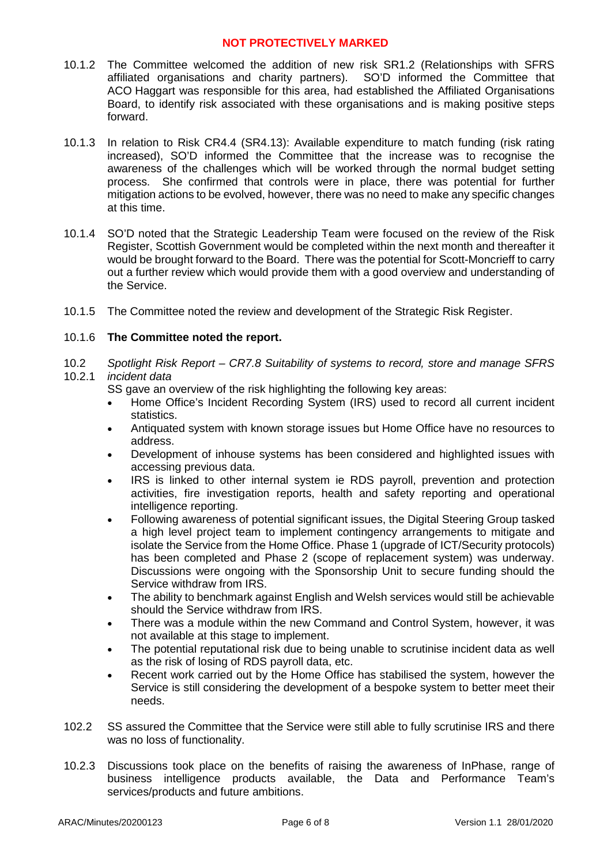- 10.1.2 The Committee welcomed the addition of new risk SR1.2 (Relationships with SFRS affiliated organisations and charity partners). SO'D informed the Committee that ACO Haggart was responsible for this area, had established the Affiliated Organisations Board, to identify risk associated with these organisations and is making positive steps forward.
- 10.1.3 In relation to Risk CR4.4 (SR4.13): Available expenditure to match funding (risk rating increased), SO'D informed the Committee that the increase was to recognise the awareness of the challenges which will be worked through the normal budget setting process. She confirmed that controls were in place, there was potential for further mitigation actions to be evolved, however, there was no need to make any specific changes at this time.
- 10.1.4 SO'D noted that the Strategic Leadership Team were focused on the review of the Risk Register, Scottish Government would be completed within the next month and thereafter it would be brought forward to the Board. There was the potential for Scott-Moncrieff to carry out a further review which would provide them with a good overview and understanding of the Service.
- 10.1.5 The Committee noted the review and development of the Strategic Risk Register.

## 10.1.6 **The Committee noted the report.**

- 10.2 10.2.1 *Spotlight Risk Report – CR7.8 Suitability of systems to record, store and manage SFRS incident data*
	- SS gave an overview of the risk highlighting the following key areas:
		- Home Office's Incident Recording System (IRS) used to record all current incident statistics.
		- Antiquated system with known storage issues but Home Office have no resources to address.
		- Development of inhouse systems has been considered and highlighted issues with accessing previous data.
		- IRS is linked to other internal system ie RDS payroll, prevention and protection activities, fire investigation reports, health and safety reporting and operational intelligence reporting.
		- Following awareness of potential significant issues, the Digital Steering Group tasked a high level project team to implement contingency arrangements to mitigate and isolate the Service from the Home Office. Phase 1 (upgrade of ICT/Security protocols) has been completed and Phase 2 (scope of replacement system) was underway. Discussions were ongoing with the Sponsorship Unit to secure funding should the Service withdraw from IRS.
		- The ability to benchmark against English and Welsh services would still be achievable should the Service withdraw from IRS.
		- There was a module within the new Command and Control System, however, it was not available at this stage to implement.
		- The potential reputational risk due to being unable to scrutinise incident data as well as the risk of losing of RDS payroll data, etc.
		- Recent work carried out by the Home Office has stabilised the system, however the Service is still considering the development of a bespoke system to better meet their needs.
- 102.2 SS assured the Committee that the Service were still able to fully scrutinise IRS and there was no loss of functionality.
- 10.2.3 Discussions took place on the benefits of raising the awareness of InPhase, range of business intelligence products available, the Data and Performance Team's services/products and future ambitions.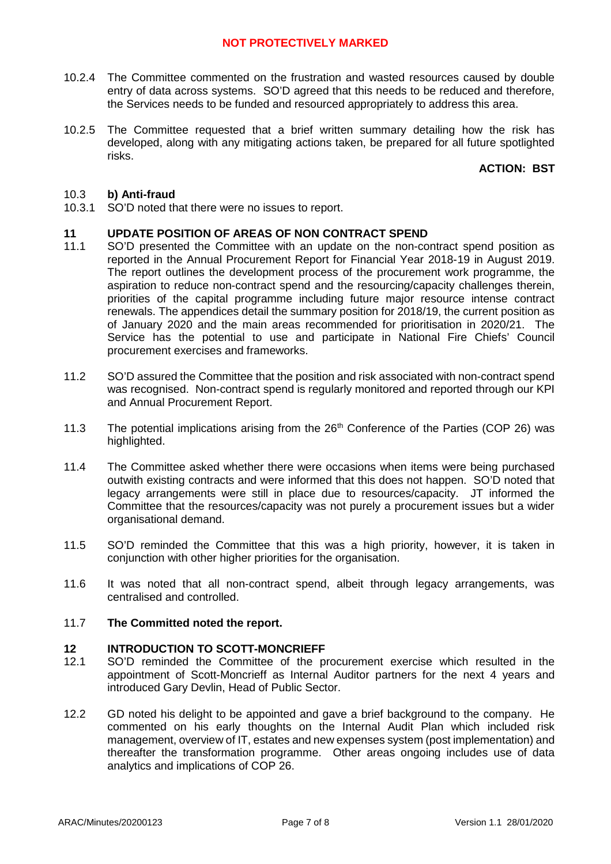- 10.2.4 The Committee commented on the frustration and wasted resources caused by double entry of data across systems. SO'D agreed that this needs to be reduced and therefore, the Services needs to be funded and resourced appropriately to address this area.
- 10.2.5 The Committee requested that a brief written summary detailing how the risk has developed, along with any mitigating actions taken, be prepared for all future spotlighted risks.

## **ACTION: BST**

#### 10.3 **b) Anti-fraud**

10.3.1 SO'D noted that there were no issues to report.

## **11 UPDATE POSITION OF AREAS OF NON CONTRACT SPEND**

- 11.1 SO'D presented the Committee with an update on the non-contract spend position as reported in the Annual Procurement Report for Financial Year 2018-19 in August 2019. The report outlines the development process of the procurement work programme, the aspiration to reduce non-contract spend and the resourcing/capacity challenges therein, priorities of the capital programme including future major resource intense contract renewals. The appendices detail the summary position for 2018/19, the current position as of January 2020 and the main areas recommended for prioritisation in 2020/21. The Service has the potential to use and participate in National Fire Chiefs' Council procurement exercises and frameworks.
- 11.2 SO'D assured the Committee that the position and risk associated with non-contract spend was recognised. Non-contract spend is regularly monitored and reported through our KPI and Annual Procurement Report.
- 11.3 The potential implications arising from the  $26<sup>th</sup>$  Conference of the Parties (COP 26) was highlighted.
- 11.4 The Committee asked whether there were occasions when items were being purchased outwith existing contracts and were informed that this does not happen. SO'D noted that legacy arrangements were still in place due to resources/capacity. JT informed the Committee that the resources/capacity was not purely a procurement issues but a wider organisational demand.
- 11.5 SO'D reminded the Committee that this was a high priority, however, it is taken in conjunction with other higher priorities for the organisation.
- 11.6 It was noted that all non-contract spend, albeit through legacy arrangements, was centralised and controlled.

#### 11.7 **The Committed noted the report.**

### **12 INTRODUCTION TO SCOTT-MONCRIEFF**

- 12.1 SO'D reminded the Committee of the procurement exercise which resulted in the appointment of Scott-Moncrieff as Internal Auditor partners for the next 4 years and introduced Gary Devlin, Head of Public Sector.
- 12.2 GD noted his delight to be appointed and gave a brief background to the company. He commented on his early thoughts on the Internal Audit Plan which included risk management, overview of IT, estates and new expenses system (post implementation) and thereafter the transformation programme. Other areas ongoing includes use of data analytics and implications of COP 26.